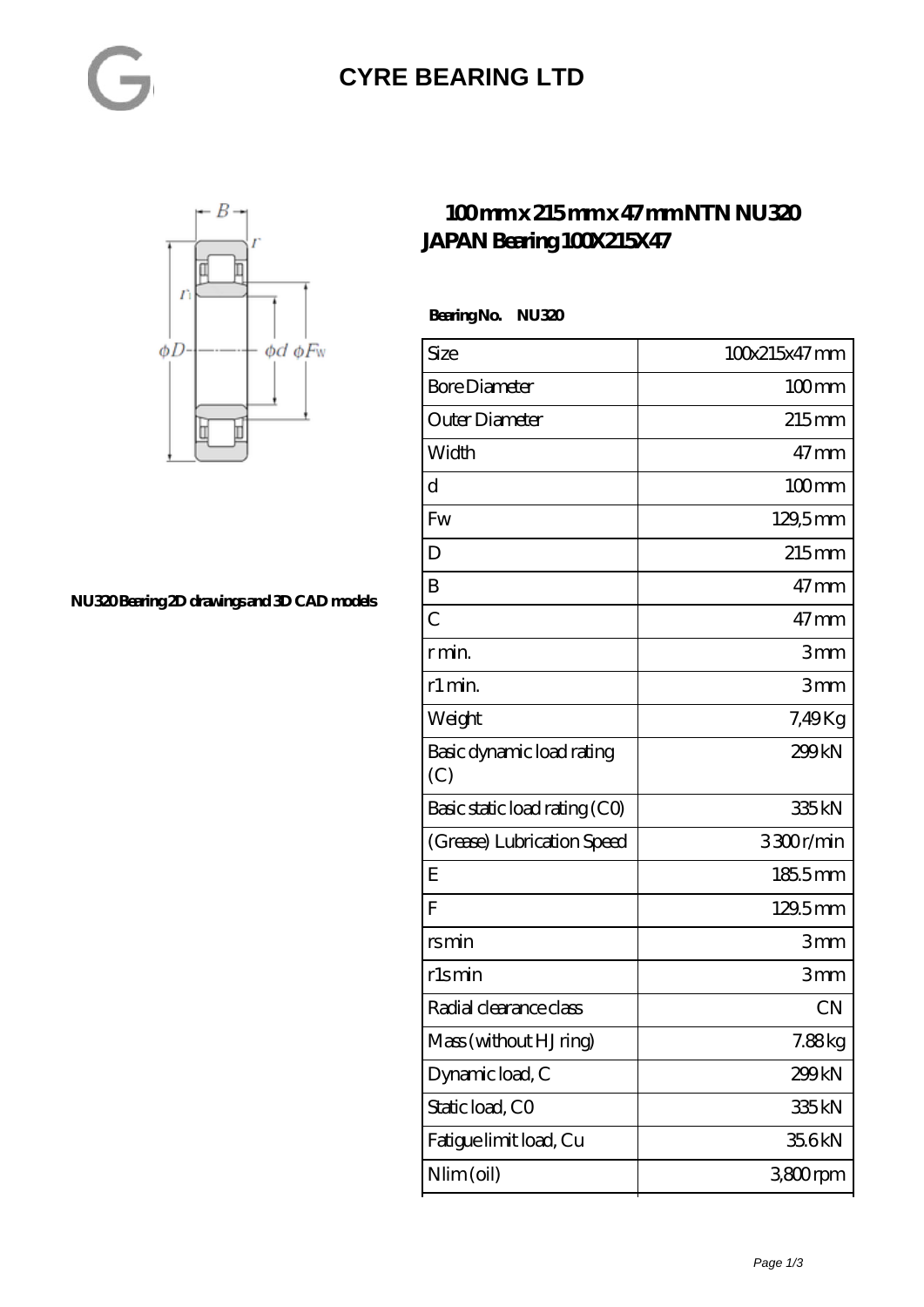#### **[CYRE BEARING LTD](https://kxt-bearing.com)**



**[NU320 Bearing 2D drawings and 3D CAD models](https://kxt-bearing.com/pic-315264.html)**

#### **[100 mm x 215 mm x 47 mm NTN NU320](https://kxt-bearing.com/bj-315264-ntn-nu320-japan-bearing-100x215x47.html) [JAPAN Bearing 100X215X47](https://kxt-bearing.com/bj-315264-ntn-nu320-japan-bearing-100x215x47.html)**

 **Bearing No. NU320**

| Size                             | 100x215x47mm        |
|----------------------------------|---------------------|
| <b>Bore Diameter</b>             | $100$ mm            |
| Outer Diameter                   | $215$ mm            |
| Width                            | $47$ mm             |
| d                                | $100$ <sub>mm</sub> |
| <b>Fw</b>                        | 129,5mm             |
| D                                | $215$ <sub>mm</sub> |
| B                                | $47$ mm             |
| $\overline{C}$                   | $47$ mm             |
| r min.                           | 3mm                 |
| r1 min.                          | 3mm                 |
| Weight                           | 7,49Kg              |
| Basic dynamic load rating<br>(C) | 299kN               |
| Basic static load rating (CO)    | 335kN               |
| (Grease) Lubrication Speed       | 3300r/min           |
| E                                | 1855mm              |
| F                                | 129.5mm             |
| rsmin                            | 3mm                 |
| rlsmin                           | 3mm                 |
| Radial clearance class           | <b>CN</b>           |
| Mass (without HJ ring)           | 7.88kg              |
| Dynamic load, C                  | 299kN               |
| Static load, CO                  | 335 <sub>kN</sub>   |
| Fatigue limit load, Cu           | 35.6kN              |
| Nlim (oil)                       | 3800rpm             |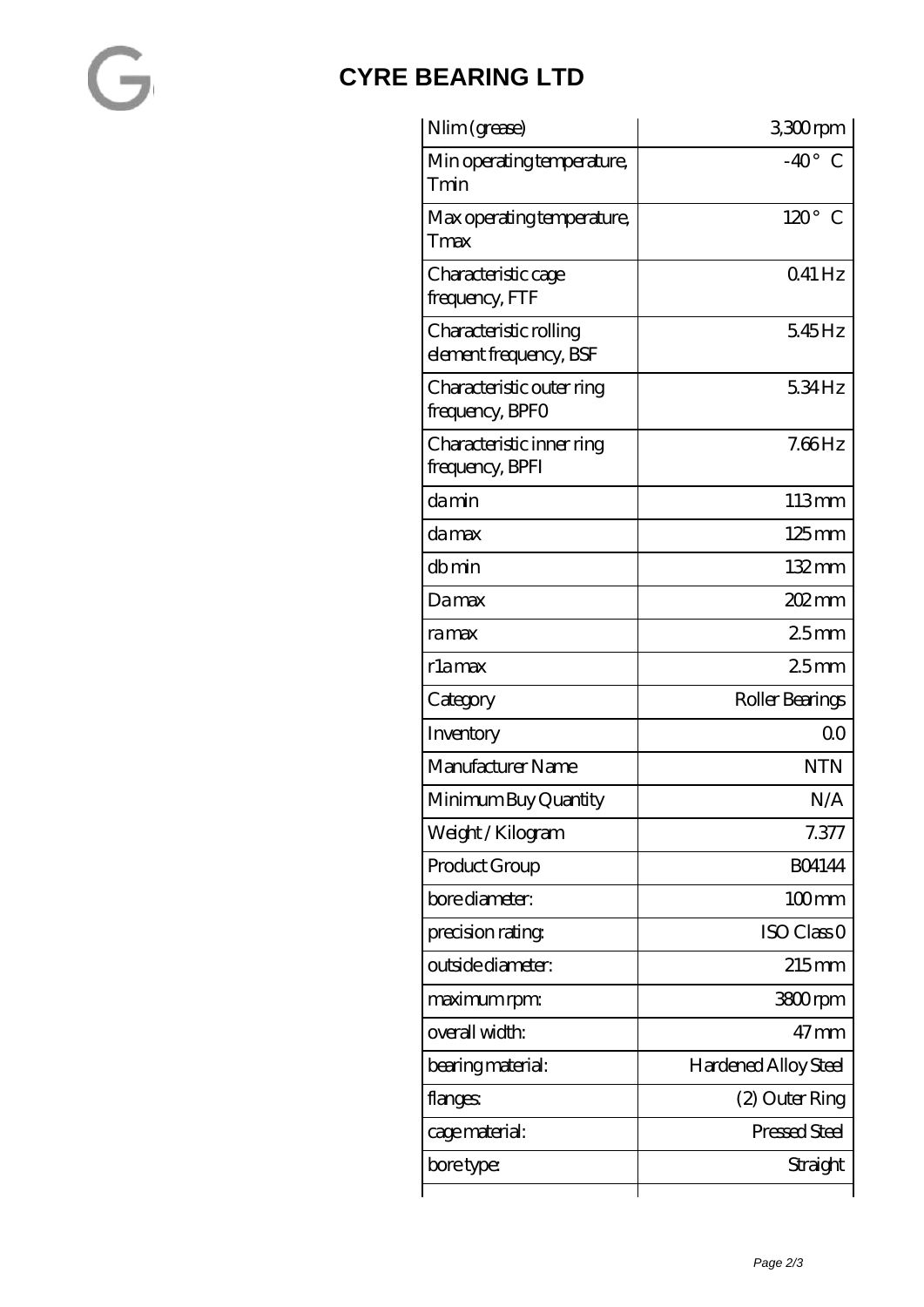### **[CYRE BEARING LTD](https://kxt-bearing.com)**

| Nlim (grease)                                    | 3300rpm                |
|--------------------------------------------------|------------------------|
| Min operating temperature,<br>Tmin               | $-40^\circ$ C          |
| Max operating temperature,<br>Tmax               | $120^\circ$ C          |
| Characteristic cage<br>frequency, FTF            | $041$ Hz               |
| Characteristic rolling<br>element frequency, BSF | 545Hz                  |
| Characteristic outer ring<br>frequency, BPFO     | 534Hz                  |
| Characteristic inner ring<br>frequency, BPFI     | $7.66$ Hz              |
| damin                                            | 113mm                  |
| da max                                           | $125 \,\mathrm{mm}$    |
| dbmin                                            | $132 \,\mathrm{mm}$    |
| Damax                                            | $202 \text{mm}$        |
| ramax                                            | 25mm                   |
| rlamax                                           | 25mm                   |
| Category                                         | Roller Bearings        |
| Inventory                                        | Q0                     |
| Manufacturer Name                                | <b>NTN</b>             |
| Minimum Buy Quantity                             | N/A                    |
| Weight/Kilogram                                  | 7.377                  |
| Product Group                                    | <b>BO4144</b>          |
| bore diameter:                                   | $100$ mm               |
| precision rating                                 | ISO Class <sub>O</sub> |
| outside diameter:                                | $215$ mm               |
| maximum rpm:                                     | 3800rpm                |
| overall width:                                   | $47 \text{mm}$         |
| bearing material:                                | Hardened Alloy Steel   |
| flanges:                                         | (2) Outer Ring         |
| cage material:                                   | Pressed Steel          |
| bore type:                                       | Straight               |
|                                                  |                        |